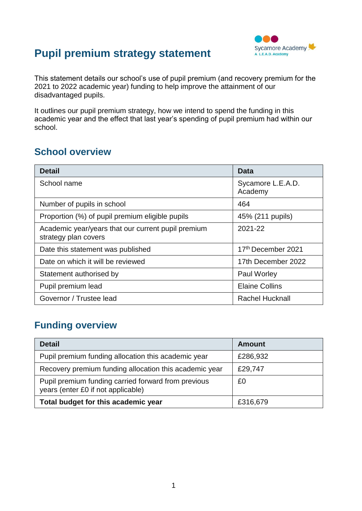# **Pupil premium strategy statement**



This statement details our school's use of pupil premium (and recovery premium for the 2021 to 2022 academic year) funding to help improve the attainment of our disadvantaged pupils.

It outlines our pupil premium strategy, how we intend to spend the funding in this academic year and the effect that last year's spending of pupil premium had within our school.

### **School overview**

| <b>Detail</b>                                                              | Data                         |
|----------------------------------------------------------------------------|------------------------------|
| School name                                                                | Sycamore L.E.A.D.<br>Academy |
| Number of pupils in school                                                 | 464                          |
| Proportion (%) of pupil premium eligible pupils                            | 45% (211 pupils)             |
| Academic year/years that our current pupil premium<br>strategy plan covers | 2021-22                      |
| Date this statement was published                                          | 17th December 2021           |
| Date on which it will be reviewed                                          | 17th December 2022           |
| Statement authorised by                                                    | <b>Paul Worley</b>           |
| Pupil premium lead                                                         | <b>Elaine Collins</b>        |
| Governor / Trustee lead                                                    | <b>Rachel Hucknall</b>       |

## **Funding overview**

| <b>Detail</b>                                                                             | <b>Amount</b> |
|-------------------------------------------------------------------------------------------|---------------|
| Pupil premium funding allocation this academic year                                       | £286,932      |
| Recovery premium funding allocation this academic year                                    | £29,747       |
| Pupil premium funding carried forward from previous<br>years (enter £0 if not applicable) | £0            |
| Total budget for this academic year                                                       | £316,679      |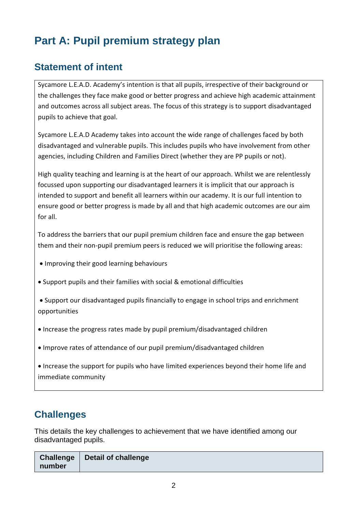# **Part A: Pupil premium strategy plan**

# **Statement of intent**

Sycamore L.E.A.D. Academy's intention is that all pupils, irrespective of their background or the challenges they face make good or better progress and achieve high academic attainment and outcomes across all subject areas. The focus of this strategy is to support disadvantaged pupils to achieve that goal.

Sycamore L.E.A.D Academy takes into account the wide range of challenges faced by both disadvantaged and vulnerable pupils. This includes pupils who have involvement from other agencies, including Children and Families Direct (whether they are PP pupils or not).

High quality teaching and learning is at the heart of our approach. Whilst we are relentlessly focussed upon supporting our disadvantaged learners it is implicit that our approach is intended to support and benefit all learners within our academy. It is our full intention to ensure good or better progress is made by all and that high academic outcomes are our aim for all.

To address the barriers that our pupil premium children face and ensure the gap between them and their non-pupil premium peers is reduced we will prioritise the following areas:

- Improving their good learning behaviours
- Support pupils and their families with social & emotional difficulties
- Support our disadvantaged pupils financially to engage in school trips and enrichment opportunities
- Increase the progress rates made by pupil premium/disadvantaged children
- Improve rates of attendance of our pupil premium/disadvantaged children

• Increase the support for pupils who have limited experiences beyond their home life and immediate community

## **Challenges**

This details the key challenges to achievement that we have identified among our disadvantaged pupils.

| number | Challenge   Detail of challenge |
|--------|---------------------------------|
|--------|---------------------------------|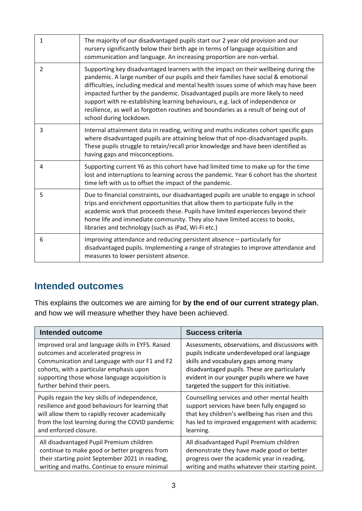| $\mathbf{1}$ | The majority of our disadvantaged pupils start our 2 year old provision and our<br>nursery significantly below their birth age in terms of language acquisition and<br>communication and language. An increasing proportion are non-verbal.                                                                                                                                                                                                                                                                                                             |
|--------------|---------------------------------------------------------------------------------------------------------------------------------------------------------------------------------------------------------------------------------------------------------------------------------------------------------------------------------------------------------------------------------------------------------------------------------------------------------------------------------------------------------------------------------------------------------|
| 2            | Supporting key disadvantaged learners with the impact on their wellbeing during the<br>pandemic. A large number of our pupils and their families have social & emotional<br>difficulties, including medical and mental health issues some of which may have been<br>impacted further by the pandemic. Disadvantaged pupils are more likely to need<br>support with re-establishing learning behaviours, e.g. lack of independence or<br>resilience, as well as forgotten routines and boundaries as a result of being out of<br>school during lockdown. |
| 3            | Internal attainment data in reading, writing and maths indicates cohort specific gaps<br>where disadvantaged pupils are attaining below that of non-disadvantaged pupils.<br>These pupils struggle to retain/recall prior knowledge and have been identified as<br>having gaps and misconceptions.                                                                                                                                                                                                                                                      |
| 4            | Supporting current Y6 as this cohort have had limited time to make up for the time<br>lost and interruptions to learning across the pandemic. Year 6 cohort has the shortest<br>time left with us to offset the impact of the pandemic.                                                                                                                                                                                                                                                                                                                 |
| 5            | Due to financial constraints, our disadvantaged pupils are unable to engage in school<br>trips and enrichment opportunities that allow them to participate fully in the<br>academic work that proceeds these. Pupils have limited experiences beyond their<br>home life and immediate community. They also have limited access to books,<br>libraries and technology (such as iPad, Wi-Fi etc.)                                                                                                                                                         |
| 6            | Improving attendance and reducing persistent absence – particularly for<br>disadvantaged pupils. Implementing a range of strategies to improve attendance and<br>measures to lower persistent absence.                                                                                                                                                                                                                                                                                                                                                  |

### **Intended outcomes**

This explains the outcomes we are aiming for **by the end of our current strategy plan**, and how we will measure whether they have been achieved.

| <b>Intended outcome</b>                           | <b>Success criteria</b>                          |
|---------------------------------------------------|--------------------------------------------------|
| Improved oral and language skills in EYFS. Raised | Assessments, observations, and discussions with  |
| outcomes and accelerated progress in              | pupils indicate underdeveloped oral language     |
| Communication and Language with our F1 and F2     | skills and vocabulary gaps among many            |
| cohorts, with a particular emphasis upon          | disadvantaged pupils. These are particularly     |
| supporting those whose language acquisition is    | evident in our younger pupils where we have      |
| further behind their peers.                       | targeted the support for this initiative.        |
| Pupils regain the key skills of independence,     | Counselling services and other mental health     |
| resilience and good behaviours for learning that  | support services have been fully engaged so      |
| will allow them to rapidly recover academically   | that key children's wellbeing has risen and this |
| from the lost learning during the COVID pandemic  | has led to improved engagement with academic     |
| and enforced closure.                             | learning.                                        |
| All disadvantaged Pupil Premium children          | All disadvantaged Pupil Premium children         |
| continue to make good or better progress from     | demonstrate they have made good or better        |
| their starting point September 2021 in reading,   | progress over the academic year in reading,      |
| writing and maths. Continue to ensure minimal     | writing and maths whatever their starting point. |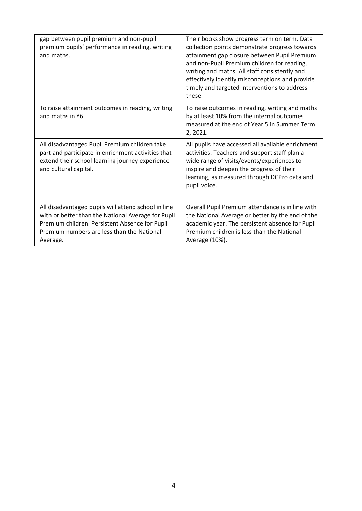| gap between pupil premium and non-pupil<br>premium pupils' performance in reading, writing<br>and maths.                                                                                                              | Their books show progress term on term. Data<br>collection points demonstrate progress towards<br>attainment gap closure between Pupil Premium<br>and non-Pupil Premium children for reading,<br>writing and maths. All staff consistently and<br>effectively identify misconceptions and provide<br>timely and targeted interventions to address<br>these. |
|-----------------------------------------------------------------------------------------------------------------------------------------------------------------------------------------------------------------------|-------------------------------------------------------------------------------------------------------------------------------------------------------------------------------------------------------------------------------------------------------------------------------------------------------------------------------------------------------------|
| To raise attainment outcomes in reading, writing<br>and maths in Y6.                                                                                                                                                  | To raise outcomes in reading, writing and maths<br>by at least 10% from the internal outcomes<br>measured at the end of Year 5 in Summer Term<br>2, 2021.                                                                                                                                                                                                   |
| All disadvantaged Pupil Premium children take<br>part and participate in enrichment activities that<br>extend their school learning journey experience<br>and cultural capital.                                       | All pupils have accessed all available enrichment<br>activities. Teachers and support staff plan a<br>wide range of visits/events/experiences to<br>inspire and deepen the progress of their<br>learning, as measured through DCPro data and<br>pupil voice.                                                                                                |
| All disadvantaged pupils will attend school in line<br>with or better than the National Average for Pupil<br>Premium children. Persistent Absence for Pupil<br>Premium numbers are less than the National<br>Average. | Overall Pupil Premium attendance is in line with<br>the National Average or better by the end of the<br>academic year. The persistent absence for Pupil<br>Premium children is less than the National<br>Average (10%).                                                                                                                                     |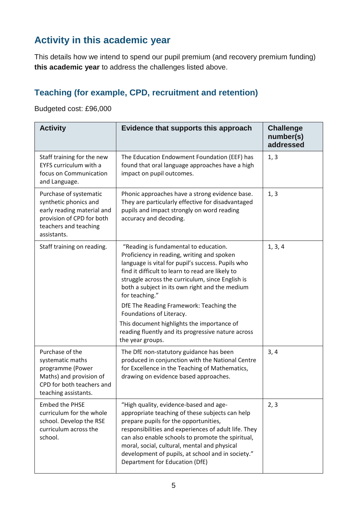# **Activity in this academic year**

This details how we intend to spend our pupil premium (and recovery premium funding) **this academic year** to address the challenges listed above.

### **Teaching (for example, CPD, recruitment and retention)**

Budgeted cost: £96,000

| <b>Activity</b>                                                                                                                                    | Evidence that supports this approach                                                                                                                                                                                                                                                                                                                                                                                                                                                                                | <b>Challenge</b><br>number(s)<br>addressed |
|----------------------------------------------------------------------------------------------------------------------------------------------------|---------------------------------------------------------------------------------------------------------------------------------------------------------------------------------------------------------------------------------------------------------------------------------------------------------------------------------------------------------------------------------------------------------------------------------------------------------------------------------------------------------------------|--------------------------------------------|
| Staff training for the new<br><b>EYFS curriculum with a</b><br>focus on Communication<br>and Language.                                             | The Education Endowment Foundation (EEF) has<br>found that oral language approaches have a high<br>impact on pupil outcomes.                                                                                                                                                                                                                                                                                                                                                                                        | 1, 3                                       |
| Purchase of systematic<br>synthetic phonics and<br>early reading material and<br>provision of CPD for both<br>teachers and teaching<br>assistants. | Phonic approaches have a strong evidence base.<br>They are particularly effective for disadvantaged<br>pupils and impact strongly on word reading<br>accuracy and decoding.                                                                                                                                                                                                                                                                                                                                         | 1, 3                                       |
| Staff training on reading.                                                                                                                         | "Reading is fundamental to education.<br>Proficiency in reading, writing and spoken<br>language is vital for pupil's success. Pupils who<br>find it difficult to learn to read are likely to<br>struggle across the curriculum, since English is<br>both a subject in its own right and the medium<br>for teaching."<br>DfE The Reading Framework: Teaching the<br>Foundations of Literacy.<br>This document highlights the importance of<br>reading fluently and its progressive nature across<br>the year groups. | 1, 3, 4                                    |
| Purchase of the<br>systematic maths<br>programme (Power<br>Maths) and provision of<br>CPD for both teachers and<br>teaching assistants.            | The DfE non-statutory guidance has been<br>produced in conjunction with the National Centre<br>for Excellence in the Teaching of Mathematics,<br>drawing on evidence based approaches.                                                                                                                                                                                                                                                                                                                              | 3, 4                                       |
| <b>Embed the PHSE</b><br>curriculum for the whole<br>school. Develop the RSE<br>curriculum across the<br>school.                                   | "High quality, evidence-based and age-<br>appropriate teaching of these subjects can help<br>prepare pupils for the opportunities,<br>responsibilities and experiences of adult life. They<br>can also enable schools to promote the spiritual,<br>moral, social, cultural, mental and physical<br>development of pupils, at school and in society."<br>Department for Education (DfE)                                                                                                                              | 2, 3                                       |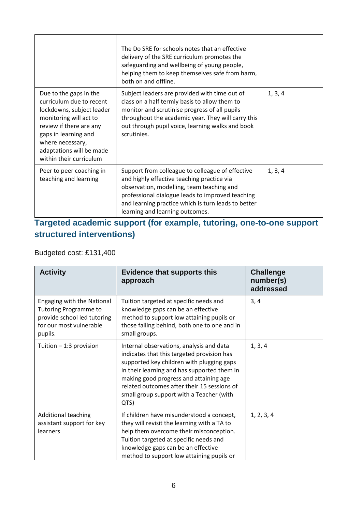|                                                                                                                                                                                                                                         | The Do SRE for schools notes that an effective<br>delivery of the SRE curriculum promotes the<br>safeguarding and wellbeing of young people,<br>helping them to keep themselves safe from harm,<br>both on and offline.                                                                   |         |
|-----------------------------------------------------------------------------------------------------------------------------------------------------------------------------------------------------------------------------------------|-------------------------------------------------------------------------------------------------------------------------------------------------------------------------------------------------------------------------------------------------------------------------------------------|---------|
| Due to the gaps in the<br>curriculum due to recent<br>lockdowns, subject leader<br>monitoring will act to<br>review if there are any<br>gaps in learning and<br>where necessary,<br>adaptations will be made<br>within their curriculum | Subject leaders are provided with time out of<br>class on a half termly basis to allow them to<br>monitor and scrutinise progress of all pupils<br>throughout the academic year. They will carry this<br>out through pupil voice, learning walks and book<br>scrutinies.                  | 1, 3, 4 |
| Peer to peer coaching in<br>teaching and learning                                                                                                                                                                                       | Support from colleague to colleague of effective<br>and highly effective teaching practice via<br>observation, modelling, team teaching and<br>professional dialogue leads to improved teaching<br>and learning practice which is turn leads to better<br>learning and learning outcomes. | 1, 3, 4 |

### **Targeted academic support (for example, tutoring, one-to-one support structured interventions)**

#### Budgeted cost: £131,400

| <b>Activity</b>                                                                                                                 | <b>Evidence that supports this</b><br>approach                                                                                                                                                                                                                                                                                  | <b>Challenge</b><br>number(s)<br>addressed |
|---------------------------------------------------------------------------------------------------------------------------------|---------------------------------------------------------------------------------------------------------------------------------------------------------------------------------------------------------------------------------------------------------------------------------------------------------------------------------|--------------------------------------------|
| Engaging with the National<br><b>Tutoring Programme to</b><br>provide school led tutoring<br>for our most vulnerable<br>pupils. | Tuition targeted at specific needs and<br>knowledge gaps can be an effective<br>method to support low attaining pupils or<br>those falling behind, both one to one and in<br>small groups.                                                                                                                                      | 3, 4                                       |
| Tuition $-1:3$ provision                                                                                                        | Internal observations, analysis and data<br>indicates that this targeted provision has<br>supported key children with plugging gaps<br>in their learning and has supported them in<br>making good progress and attaining age<br>related outcomes after their 15 sessions of<br>small group support with a Teacher (with<br>QTS) | 1, 3, 4                                    |
| <b>Additional teaching</b><br>assistant support for key<br>learners                                                             | If children have misunderstood a concept,<br>they will revisit the learning with a TA to<br>help them overcome their misconception.<br>Tuition targeted at specific needs and<br>knowledge gaps can be an effective<br>method to support low attaining pupils or                                                                | 1, 2, 3, 4                                 |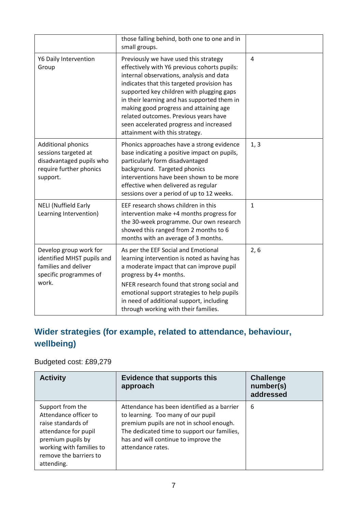|                                                                                                                      | those falling behind, both one to one and in<br>small groups.                                                                                                                                                                                                                                                                                                                                                                               |                |
|----------------------------------------------------------------------------------------------------------------------|---------------------------------------------------------------------------------------------------------------------------------------------------------------------------------------------------------------------------------------------------------------------------------------------------------------------------------------------------------------------------------------------------------------------------------------------|----------------|
| Y6 Daily Intervention<br>Group                                                                                       | Previously we have used this strategy<br>effectively with Y6 previous cohorts pupils:<br>internal observations, analysis and data<br>indicates that this targeted provision has<br>supported key children with plugging gaps<br>in their learning and has supported them in<br>making good progress and attaining age<br>related outcomes. Previous years have<br>seen accelerated progress and increased<br>attainment with this strategy. | $\overline{4}$ |
| <b>Additional phonics</b><br>sessions targeted at<br>disadvantaged pupils who<br>require further phonics<br>support. | Phonics approaches have a strong evidence<br>base indicating a positive impact on pupils,<br>particularly form disadvantaged<br>background. Targeted phonics<br>interventions have been shown to be more<br>effective when delivered as regular<br>sessions over a period of up to 12 weeks.                                                                                                                                                | 1, 3           |
| <b>NELI (Nuffield Early</b><br>Learning Intervention)                                                                | EEF research shows children in this<br>intervention make +4 months progress for<br>the 30-week programme. Our own research<br>showed this ranged from 2 months to 6<br>months with an average of 3 months.                                                                                                                                                                                                                                  | $\mathbf{1}$   |
| Develop group work for<br>identified MHST pupils and<br>families and deliver<br>specific programmes of<br>work.      | As per the EEF Social and Emotional<br>learning intervention is noted as having has<br>a moderate impact that can improve pupil<br>progress by 4+ months.<br>NFER research found that strong social and<br>emotional support strategies to help pupils<br>in need of additional support, including<br>through working with their families.                                                                                                  | 2, 6           |

# **Wider strategies (for example, related to attendance, behaviour, wellbeing)**

#### Budgeted cost: £89,279

| <b>Activity</b>                                                                                                                                                                  | <b>Evidence that supports this</b><br>approach                                                                                                                                                                                            | <b>Challenge</b><br>number(s)<br>addressed |
|----------------------------------------------------------------------------------------------------------------------------------------------------------------------------------|-------------------------------------------------------------------------------------------------------------------------------------------------------------------------------------------------------------------------------------------|--------------------------------------------|
| Support from the<br>Attendance officer to<br>raise standards of<br>attendance for pupil<br>premium pupils by<br>working with families to<br>remove the barriers to<br>attending. | Attendance has been identified as a barrier<br>to learning. Too many of our pupil<br>premium pupils are not in school enough.<br>The dedicated time to support our families,<br>has and will continue to improve the<br>attendance rates. | 6                                          |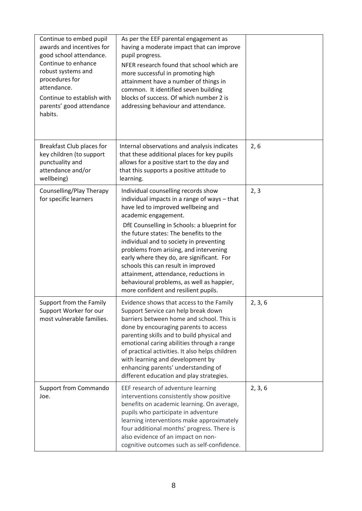| Continue to embed pupil<br>awards and incentives for<br>good school attendance.<br>Continue to enhance<br>robust systems and<br>procedures for<br>attendance.<br>Continue to establish with<br>parents' good attendance<br>habits. | As per the EEF parental engagement as<br>having a moderate impact that can improve<br>pupil progress.<br>NFER research found that school which are<br>more successful in promoting high<br>attainment have a number of things in<br>common. It identified seven building<br>blocks of success. Of which number 2 is<br>addressing behaviour and attendance.                                                                                                                                                                                       |         |
|------------------------------------------------------------------------------------------------------------------------------------------------------------------------------------------------------------------------------------|---------------------------------------------------------------------------------------------------------------------------------------------------------------------------------------------------------------------------------------------------------------------------------------------------------------------------------------------------------------------------------------------------------------------------------------------------------------------------------------------------------------------------------------------------|---------|
| Breakfast Club places for<br>key children (to support<br>punctuality and<br>attendance and/or<br>wellbeing)                                                                                                                        | Internal observations and analysis indicates<br>that these additional places for key pupils<br>allows for a positive start to the day and<br>that this supports a positive attitude to<br>learning.                                                                                                                                                                                                                                                                                                                                               | 2, 6    |
| Counselling/Play Therapy<br>for specific learners                                                                                                                                                                                  | Individual counselling records show<br>individual impacts in a range of ways - that<br>have led to improved wellbeing and<br>academic engagement.<br>DfE Counselling in Schools: a blueprint for<br>the future states: The benefits to the<br>individual and to society in preventing<br>problems from arising, and intervening<br>early where they do, are significant. For<br>schools this can result in improved<br>attainment, attendance, reductions in<br>behavioural problems, as well as happier,<br>more confident and resilient pupils. | 2, 3    |
| Support from the Family<br>Support Worker for our<br>most vulnerable families.                                                                                                                                                     | Evidence shows that access to the Family<br>Support Service can help break down<br>barriers between home and school. This is<br>done by encouraging parents to access<br>parenting skills and to build physical and<br>emotional caring abilities through a range<br>of practical activities. It also helps children<br>with learning and development by<br>enhancing parents' understanding of<br>different education and play strategies.                                                                                                       | 2, 3, 6 |
| <b>Support from Commando</b><br>Joe.                                                                                                                                                                                               | EEF research of adventure learning<br>interventions consistently show positive<br>benefits on academic learning. On average,<br>pupils who participate in adventure<br>learning interventions make approximately<br>four additional months' progress. There is<br>also evidence of an impact on non-<br>cognitive outcomes such as self-confidence.                                                                                                                                                                                               | 2, 3, 6 |